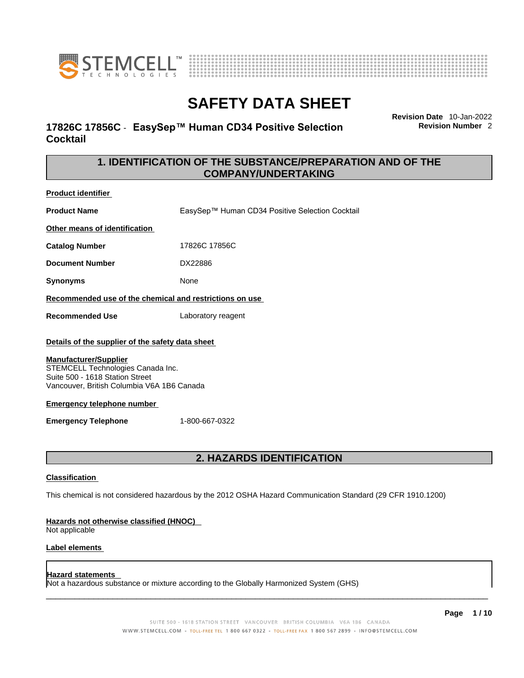



# **17826C 17856C** - **EasySep™ Human CD34 Positive Selection Cocktail**

**Revision Date** 10-Jan-2022 **Revision Number** 2

# **1. IDENTIFICATION OF THE SUBSTANCE/PREPARATION AND OF THE COMPANY/UNDERTAKING**

**Product identifier**

**Product Name** EasySep™ Human CD34 Positive Selection Cocktail

**Other means of identification**

**Catalog Number** 17826C 17856C

**Document Number** DX22886

**Synonyms** None

**Recommended use of the chemical and restrictions on use**

**Recommended Use** Laboratory reagent

### **Details of the supplier of the safety data sheet**

### **Manufacturer/Supplier**

STEMCELL Technologies Canada Inc. Suite 500 - 1618 Station Street Vancouver, British Columbia V6A 1B6 Canada

### **Emergency telephone number**

**Emergency Telephone** 1-800-667-0322

# **2. HAZARDS IDENTIFICATION**

### **Classification**

This chemical is not considered hazardous by the 2012 OSHA Hazard Communication Standard (29 CFR 1910.1200)

### **Hazards not otherwise classified (HNOC)**

Not applicable

### **Label elements**

### **Hazard statements**

Not a hazardous substance or mixture according to the Globally Harmonized System (GHS)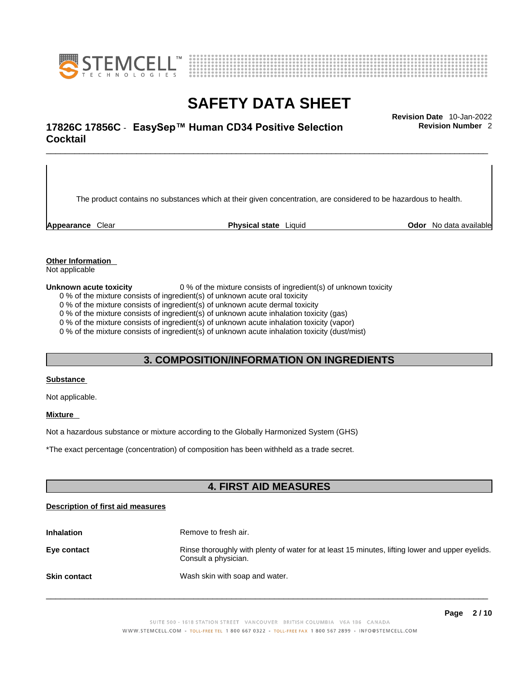



# \_\_\_\_\_\_\_\_\_\_\_\_\_\_\_\_\_\_\_\_\_\_\_\_\_\_\_\_\_\_\_\_\_\_\_\_\_\_\_\_\_\_\_\_\_\_\_\_\_\_\_\_\_\_\_\_\_\_\_\_\_\_\_\_\_\_\_\_\_\_\_\_\_\_\_\_\_\_\_\_\_\_\_\_\_\_\_\_\_\_\_\_\_ **Revision Date** 10-Jan-2022 **17826C 17856C** - **EasySep™ Human CD34 Positive Selection Cocktail**

**Revision Number** 2

The product contains no substances which at their given concentration, are considered to be hazardous to health.

**Appearance** Clear **Physical state** Liquid **Odor** No data available

**Other Information** 

Not applicable

**Unknown acute toxicity** 0 % of the mixture consists of ingredient(s) of unknown toxicity

0 % of the mixture consists of ingredient(s) of unknown acute oral toxicity

0 % of the mixture consists of ingredient(s) of unknown acute dermal toxicity

0 % of the mixture consists of ingredient(s) of unknown acute inhalation toxicity (gas)

0 % of the mixture consists of ingredient(s) of unknown acute inhalation toxicity (vapor)

0 % of the mixture consists of ingredient(s) of unknown acute inhalation toxicity (dust/mist)

# **3. COMPOSITION/INFORMATION ON INGREDIENTS**

### **Substance**

Not applicable.

### **Mixture**

Not a hazardous substance or mixture according to the Globally Harmonized System (GHS)

\*The exact percentage (concentration) ofcomposition has been withheld as a trade secret.

# **4. FIRST AID MEASURES**

### **Description of first aid measures**

| <b>Inhalation</b>   | Remove to fresh air.                                                                                                    |
|---------------------|-------------------------------------------------------------------------------------------------------------------------|
| Eye contact         | Rinse thoroughly with plenty of water for at least 15 minutes, lifting lower and upper eyelids.<br>Consult a physician. |
| <b>Skin contact</b> | Wash skin with soap and water.                                                                                          |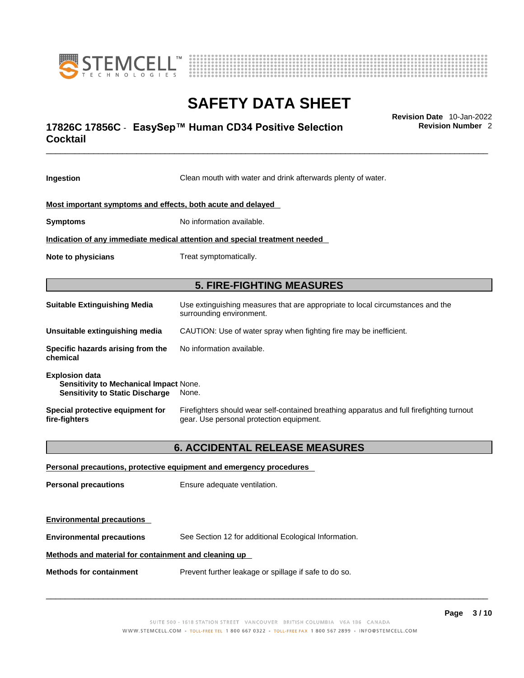



# \_\_\_\_\_\_\_\_\_\_\_\_\_\_\_\_\_\_\_\_\_\_\_\_\_\_\_\_\_\_\_\_\_\_\_\_\_\_\_\_\_\_\_\_\_\_\_\_\_\_\_\_\_\_\_\_\_\_\_\_\_\_\_\_\_\_\_\_\_\_\_\_\_\_\_\_\_\_\_\_\_\_\_\_\_\_\_\_\_\_\_\_\_ **Revision Date** 10-Jan-2022 **17826C 17856C** - **EasySep™ Human CD34 Positive Selection Cocktail**

**Revision Number** 2

| Ingestion                                                                                                        | Clean mouth with water and drink afterwards plenty of water.                                                                          |  |
|------------------------------------------------------------------------------------------------------------------|---------------------------------------------------------------------------------------------------------------------------------------|--|
| Most important symptoms and effects, both acute and delayed                                                      |                                                                                                                                       |  |
| <b>Symptoms</b>                                                                                                  | No information available.                                                                                                             |  |
|                                                                                                                  | Indication of any immediate medical attention and special treatment needed                                                            |  |
| Note to physicians                                                                                               | Treat symptomatically.                                                                                                                |  |
|                                                                                                                  | <b>5. FIRE-FIGHTING MEASURES</b>                                                                                                      |  |
| <b>Suitable Extinguishing Media</b>                                                                              | Use extinguishing measures that are appropriate to local circumstances and the<br>surrounding environment.                            |  |
| Unsuitable extinguishing media                                                                                   | CAUTION: Use of water spray when fighting fire may be inefficient.                                                                    |  |
| Specific hazards arising from the<br>chemical                                                                    | No information available.                                                                                                             |  |
| <b>Explosion data</b><br><b>Sensitivity to Mechanical Impact None.</b><br><b>Sensitivity to Static Discharge</b> | None.                                                                                                                                 |  |
| Special protective equipment for<br>fire-fighters                                                                | Firefighters should wear self-contained breathing apparatus and full firefighting turnout<br>gear. Use personal protection equipment. |  |
| <b>6. ACCIDENTAL RELEASE MEASURES</b>                                                                            |                                                                                                                                       |  |
|                                                                                                                  | Personal precautions, protective equipment and emergency procedures                                                                   |  |
| <b>Personal precautions</b>                                                                                      | Ensure adequate ventilation.                                                                                                          |  |
| <b>Environmental precautions</b>                                                                                 |                                                                                                                                       |  |
| <b>Environmental precautions</b>                                                                                 | See Section 12 for additional Ecological Information.                                                                                 |  |

## **Methods and material for containment and cleaning up**

**Methods for containment** Prevent further leakage or spillage if safe to do so.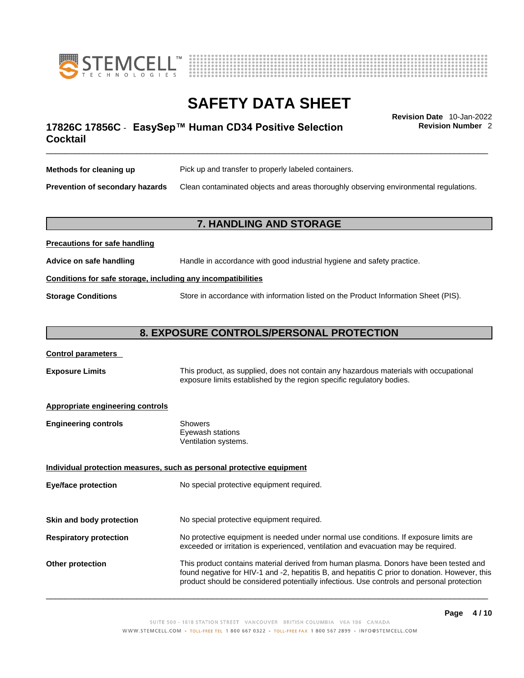



# \_\_\_\_\_\_\_\_\_\_\_\_\_\_\_\_\_\_\_\_\_\_\_\_\_\_\_\_\_\_\_\_\_\_\_\_\_\_\_\_\_\_\_\_\_\_\_\_\_\_\_\_\_\_\_\_\_\_\_\_\_\_\_\_\_\_\_\_\_\_\_\_\_\_\_\_\_\_\_\_\_\_\_\_\_\_\_\_\_\_\_\_\_ **Revision Date** 10-Jan-2022 **17826C 17856C** - **EasySep™ Human CD34 Positive Selection Cocktail**

**Revision Number** 2

| Methods for cleaning up         | Pick up and transfer to properly labeled containers.                                 |
|---------------------------------|--------------------------------------------------------------------------------------|
| Prevention of secondary hazards | Clean contaminated objects and areas thoroughly observing environmental regulations. |

# **7. HANDLING AND STORAGE**

| Advice on safe handling                                      | Handle in accordance with good industrial hygiene and safety practice.              |  |
|--------------------------------------------------------------|-------------------------------------------------------------------------------------|--|
| Conditions for safe storage, including any incompatibilities |                                                                                     |  |
| <b>Storage Conditions</b>                                    | Store in accordance with information listed on the Product Information Sheet (PIS). |  |

## **8. EXPOSURE CONTROLS/PERSONAL PROTECTION**

### **Control parameters**

**Precautions for safe handling**

**Exposure Limits** This product, as supplied, does not contain any hazardous materials with occupational exposure limits established by the region specific regulatory bodies.

### **Appropriate engineering controls**

| <b>Engineering controls</b> | Showers              |
|-----------------------------|----------------------|
|                             | Eyewash stations     |
|                             | Ventilation systems. |

**Individual protection measures, such as personal protective equipment Eye/face protection** No special protective equipment required.

**Skin and body protection** No special protective equipment required.

# **Respiratory protection** No protective equipment is needed under normal use conditions. If exposure limits are exceeded or irritation is experienced, ventilation and evacuation may be required.

**Other protection** This product contains material derived from human plasma. Donors have been tested and found negative for HIV-1 and -2, hepatitis B, and hepatitis C prior to donation. However, this product should be considered potentially infectious. Use controls and personal protection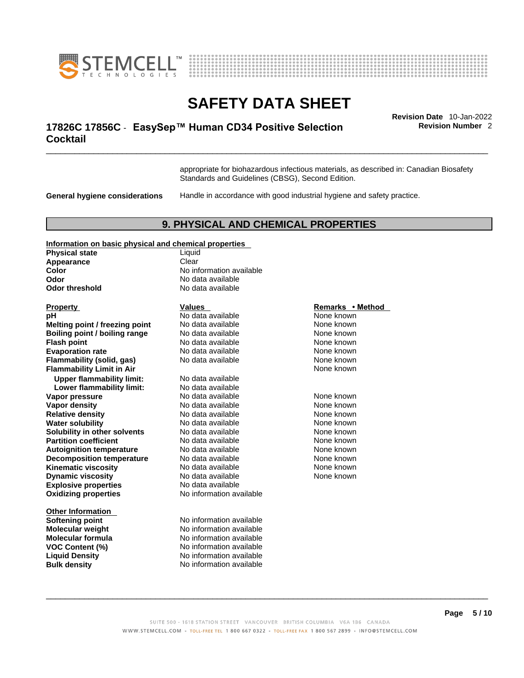



# \_\_\_\_\_\_\_\_\_\_\_\_\_\_\_\_\_\_\_\_\_\_\_\_\_\_\_\_\_\_\_\_\_\_\_\_\_\_\_\_\_\_\_\_\_\_\_\_\_\_\_\_\_\_\_\_\_\_\_\_\_\_\_\_\_\_\_\_\_\_\_\_\_\_\_\_\_\_\_\_\_\_\_\_\_\_\_\_\_\_\_\_\_ **Revision Date** 10-Jan-2022 **17826C 17856C** - **EasySep™ Human CD34 Positive Selection Cocktail**

**Revision Number** 2

appropriate for biohazardous infectious materials, as described in: Canadian Biosafety Standards and Guidelines (CBSG), Second Edition.

**General hygiene considerations** Handle in accordance with good industrial hygiene and safety practice.

## **9. PHYSICAL AND CHEMICAL PROPERTIES**

#### **Information on basic physical and chemical properties**

| <b>Physical state</b> | Liauid             |
|-----------------------|--------------------|
| Appearance            | Clear              |
| Color                 | No information ava |
| Odor                  | No data available  |
| Odor threshold        | No data available  |
|                       |                    |

**Explosive properties**<br> **Oxidizing properties**<br> **Oxidizing properties**<br>
No information available **Oxidizing properties Property Remarks • Remarks • Remarks • Remarks • Method pH Notata available Note known Melting point / freezing point** No data available None known<br> **Rojling point / bojling range** No data available None Known None known **Boiling point / boiling range** No data available **None known**<br>
No data available **None known**<br>
None known **Evaporation rate Reserve Accord No data available Mone Known** None known **Flammability (solid, gas)** No data available None Known None known **Flammability Limit in Air** None known **Upper flammability limit:** No data available **Lower flammability limit:** No data available **Vapor pressure No data available Mone known**<br> **Vapor density No data available** Mone known **None known Vapor density Relative density No data available None known**<br> **Water solubility No data available None known**<br>
No data available **Water solubility No data available None known Solubility in other solvents** No data available None known **Partition coefficient No data available None known Autoignition temperature No data available Mone Known** None known **Decomposition temperature** No data available None known **Kinematic viscosity No data available None known Dynamic viscosity No data available None known** 

**Other Information**<br>Softening point **Bulk density No information available** 

**Liquid No information available Odor** No data available **No data available** 

**No data available** 

**Softening point** No information available **Molecular weight** No information available **Molecular formula** No information available **VOC Content (%)** No information available **Liquid Density** No information available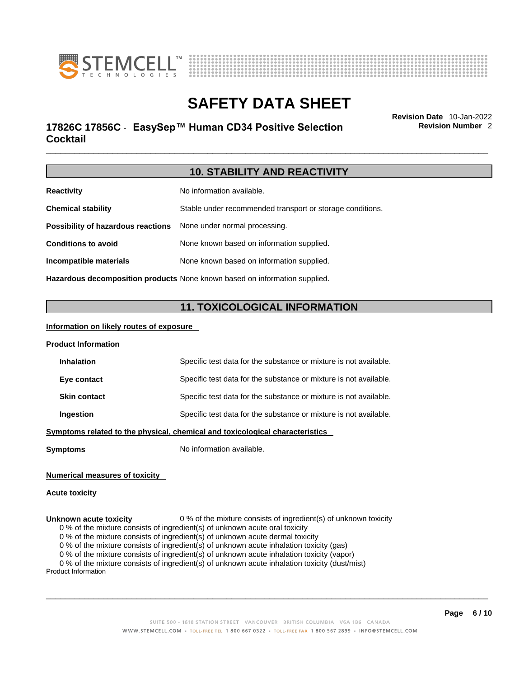



# \_\_\_\_\_\_\_\_\_\_\_\_\_\_\_\_\_\_\_\_\_\_\_\_\_\_\_\_\_\_\_\_\_\_\_\_\_\_\_\_\_\_\_\_\_\_\_\_\_\_\_\_\_\_\_\_\_\_\_\_\_\_\_\_\_\_\_\_\_\_\_\_\_\_\_\_\_\_\_\_\_\_\_\_\_\_\_\_\_\_\_\_\_ **Revision Date** 10-Jan-2022 **17826C 17856C** - **EasySep™ Human CD34 Positive Selection Cocktail**

**Revision Number** 2

|--|

| <b>Reactivity</b>                                                                 | No information available.                                 |
|-----------------------------------------------------------------------------------|-----------------------------------------------------------|
| <b>Chemical stability</b>                                                         | Stable under recommended transport or storage conditions. |
| Possibility of hazardous reactions                                                | None under normal processing.                             |
| <b>Conditions to avoid</b>                                                        | None known based on information supplied.                 |
| Incompatible materials                                                            | None known based on information supplied.                 |
| <b>Hazardous decomposition products</b> None known based on information supplied. |                                                           |

# **11. TOXICOLOGICAL INFORMATION**

### **Information on likely routes of exposure**

| Specific test data for the substance or mixture is not available.                   |  |
|-------------------------------------------------------------------------------------|--|
| Specific test data for the substance or mixture is not available.                   |  |
| Specific test data for the substance or mixture is not available.                   |  |
| Specific test data for the substance or mixture is not available.                   |  |
| <u>Symptoms related to the physical, chemical and toxicological characteristics</u> |  |
|                                                                                     |  |

**Symptoms** No information available.

### **Numerical measures of toxicity**

### **Acute toxicity**

#### **Unknown acute toxicity** 0 % of the mixture consists of ingredient(s) of unknown toxicity

0 % of the mixture consists of ingredient(s) of unknown acute oral toxicity

0 % of the mixture consists of ingredient(s) of unknown acute dermal toxicity

0 % of the mixture consists of ingredient(s) of unknown acute inhalation toxicity (gas)

0 % of the mixture consists of ingredient(s) of unknown acute inhalation toxicity (vapor)

0 % of the mixture consists of ingredient(s) of unknown acute inhalation toxicity (dust/mist)

Product Information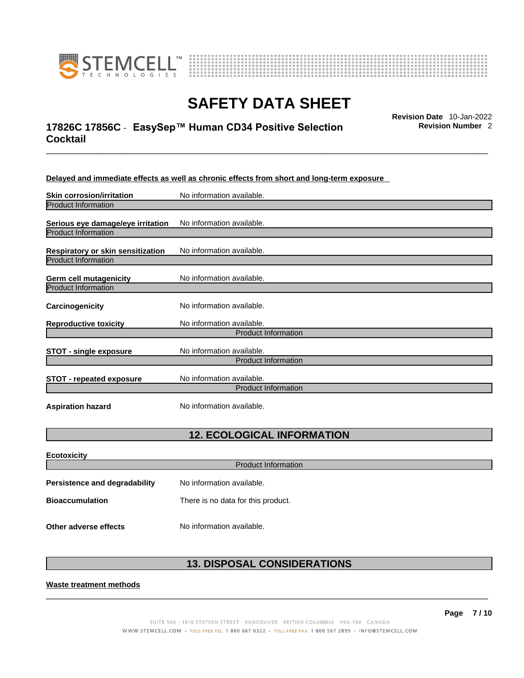



# \_\_\_\_\_\_\_\_\_\_\_\_\_\_\_\_\_\_\_\_\_\_\_\_\_\_\_\_\_\_\_\_\_\_\_\_\_\_\_\_\_\_\_\_\_\_\_\_\_\_\_\_\_\_\_\_\_\_\_\_\_\_\_\_\_\_\_\_\_\_\_\_\_\_\_\_\_\_\_\_\_\_\_\_\_\_\_\_\_\_\_\_\_ **Revision Date** 10-Jan-2022 **17826C 17856C** - **EasySep™ Human CD34 Positive Selection Cocktail**

**Revision Number** 2

| Delayed and immediate effects as well as chronic effects from short and long-term exposure |  |
|--------------------------------------------------------------------------------------------|--|
|--------------------------------------------------------------------------------------------|--|

| <b>Skin corrosion/irritation</b>                                | No information available.                               |
|-----------------------------------------------------------------|---------------------------------------------------------|
| <b>Product Information</b>                                      |                                                         |
| Serious eye damage/eye irritation<br><b>Product Information</b> | No information available.                               |
| Respiratory or skin sensitization<br><b>Product Information</b> | No information available.                               |
| Germ cell mutagenicity<br><b>Product Information</b>            | No information available.                               |
| <b>Carcinogenicity</b>                                          | No information available.                               |
| <b>Reproductive toxicity</b>                                    | No information available.                               |
|                                                                 | <b>Product Information</b>                              |
| <b>STOT - single exposure</b>                                   | No information available.<br><b>Product Information</b> |
| <b>STOT - repeated exposure</b>                                 | No information available.<br><b>Product Information</b> |
| <b>Aspiration hazard</b>                                        | No information available.                               |

# **12. ECOLOGICAL INFORMATION**

| <b>Ecotoxicity</b>            |                                    |  |  |
|-------------------------------|------------------------------------|--|--|
|                               | Product Information                |  |  |
| Persistence and degradability | No information available.          |  |  |
| <b>Bioaccumulation</b>        | There is no data for this product. |  |  |
| Other adverse effects         | No information available.          |  |  |

# **13. DISPOSAL CONSIDERATIONS**

 $\_$  ,  $\_$  ,  $\_$  ,  $\_$  ,  $\_$  ,  $\_$  ,  $\_$  ,  $\_$  ,  $\_$  ,  $\_$  ,  $\_$  ,  $\_$  ,  $\_$  ,  $\_$  ,  $\_$  ,  $\_$  ,  $\_$  ,  $\_$  ,  $\_$  ,  $\_$  ,  $\_$  ,  $\_$  ,  $\_$  ,  $\_$  ,  $\_$  ,  $\_$  ,  $\_$  ,  $\_$  ,  $\_$  ,  $\_$  ,  $\_$  ,  $\_$  ,  $\_$  ,  $\_$  ,  $\_$  ,  $\_$  ,  $\_$  ,

**Waste treatment methods**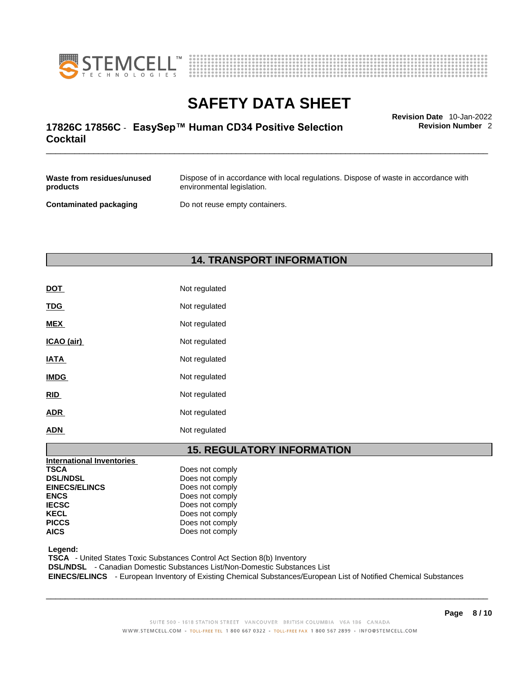



# \_\_\_\_\_\_\_\_\_\_\_\_\_\_\_\_\_\_\_\_\_\_\_\_\_\_\_\_\_\_\_\_\_\_\_\_\_\_\_\_\_\_\_\_\_\_\_\_\_\_\_\_\_\_\_\_\_\_\_\_\_\_\_\_\_\_\_\_\_\_\_\_\_\_\_\_\_\_\_\_\_\_\_\_\_\_\_\_\_\_\_\_\_ **Revision Date** 10-Jan-2022 **17826C 17856C** - **EasySep™ Human CD34 Positive Selection Cocktail**

**Revision Number** 2

| Waste from residues/unused    | Dispose of in accordance with local regulations. Dispose of waste in accordance with |
|-------------------------------|--------------------------------------------------------------------------------------|
| products                      | environmental legislation.                                                           |
| <b>Contaminated packaging</b> | Do not reuse empty containers.                                                       |

# **14. TRANSPORT INFORMATION**

| DOT         | Not regulated |
|-------------|---------------|
| <b>TDG</b>  | Not regulated |
| <b>MEX</b>  | Not regulated |
| ICAO (air)  | Not regulated |
| <b>IATA</b> | Not regulated |
| <b>IMDG</b> | Not regulated |
| <b>RID</b>  | Not regulated |
| <b>ADR</b>  | Not regulated |
| <b>ADN</b>  | Not regulated |

# **15. REGULATORY INFORMATION**

| Does not comply |                 |
|-----------------|-----------------|
| Does not comply |                 |
| Does not comply |                 |
| Does not comply |                 |
| Does not comply |                 |
|                 |                 |
| Does not comply |                 |
| Does not comply |                 |
|                 | Does not comply |

 **Legend:** 

 **TSCA** - United States Toxic Substances Control Act Section 8(b) Inventory

 **DSL/NDSL** - Canadian Domestic Substances List/Non-Domestic Substances List

 **EINECS/ELINCS** - European Inventory of Existing Chemical Substances/European List of Notified Chemical Substances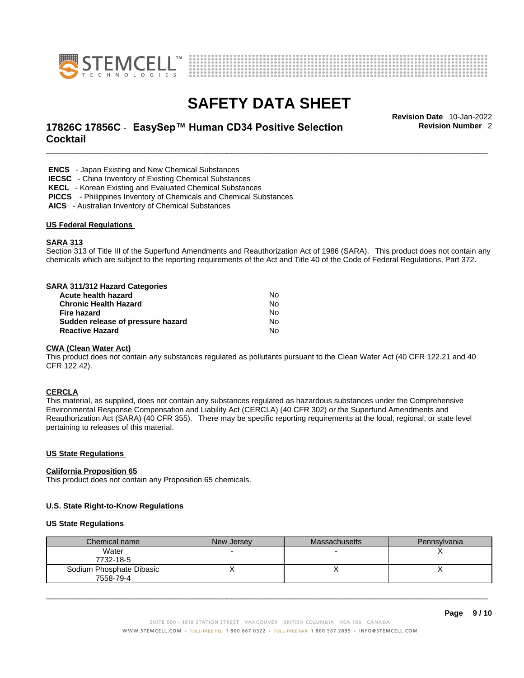



# \_\_\_\_\_\_\_\_\_\_\_\_\_\_\_\_\_\_\_\_\_\_\_\_\_\_\_\_\_\_\_\_\_\_\_\_\_\_\_\_\_\_\_\_\_\_\_\_\_\_\_\_\_\_\_\_\_\_\_\_\_\_\_\_\_\_\_\_\_\_\_\_\_\_\_\_\_\_\_\_\_\_\_\_\_\_\_\_\_\_\_\_\_ **Revision Date** 10-Jan-2022 **17826C 17856C** - **EasySep™ Human CD34 Positive Selection Cocktail**

**Revision Number** 2

 **ENCS** - Japan Existing and New Chemical Substances

 **IECSC** - China Inventory of Existing Chemical Substances

 **KECL** - Korean Existing and Evaluated Chemical Substances

 **PICCS** - Philippines Inventory of Chemicals and Chemical Substances

 **AICS** - Australian Inventory of Chemical Substances

#### **US Federal Regulations**

#### **SARA 313**

Section 313 of Title III of the Superfund Amendments and Reauthorization Act of 1986 (SARA). This product does not contain any chemicals which are subject to the reporting requirements of the Act and Title 40 of the Code of Federal Regulations, Part 372.

#### **SARA 311/312 Hazard Categories**

| Acute health hazard               | No  |
|-----------------------------------|-----|
| <b>Chronic Health Hazard</b>      | N٥  |
| Fire hazard                       | N٥  |
| Sudden release of pressure hazard | No. |
| <b>Reactive Hazard</b>            | N٥  |

### **CWA** (Clean Water Act)

This product does not contain any substances regulated as pollutants pursuant to the Clean Water Act (40 CFR 122.21 and 40 CFR 122.42).

#### **CERCLA**

This material, as supplied, does not contain any substances regulated as hazardous substances under the Comprehensive Environmental Response Compensation and Liability Act (CERCLA) (40 CFR 302) or the Superfund Amendments and Reauthorization Act (SARA) (40 CFR 355). There may be specific reporting requirements at the local, regional, or state level pertaining to releases of this material.

#### **US State Regulations**

#### **California Proposition 65**

This product does not contain any Proposition 65 chemicals.

### **U.S. State Right-to-Know Regulations**

#### **US State Regulations**

| Chemical name                         | New Jersey | <b>Massachusetts</b> | Pennsylvania |
|---------------------------------------|------------|----------------------|--------------|
| Water<br>7732-18-5                    |            |                      |              |
| Sodium Phosphate Dibasic<br>7558-79-4 |            |                      |              |